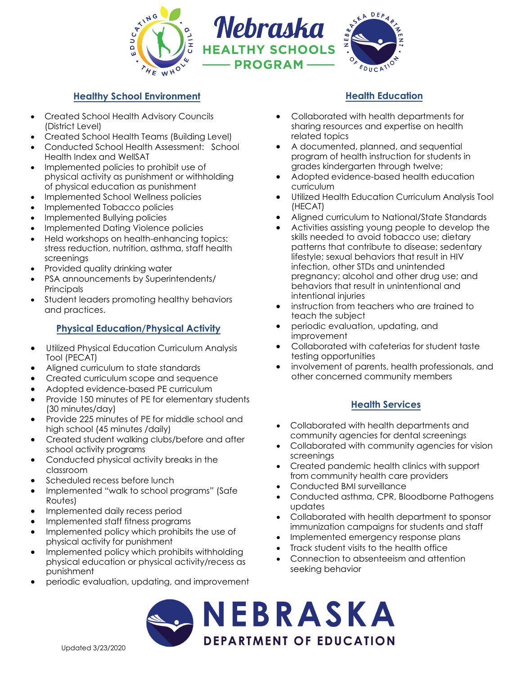

## **Healthy School Environment**

- Created School Health Advisory Councils (District Level)
- Created School Health Teams (Building Level)
- Conducted School Health Assessment: School Health Index and WellSAT
- Implemented policies to prohibit use of physical activity as punishment or withholding of physical education as punishment
- Implemented School Wellness policies
- Implemented Tobacco policies
- Implemented Bullying policies
- Implemented Dating Violence policies
- Held workshops on health-enhancing topics: stress reduction, nutrition, asthma, staff health screenings
- Provided quality drinking water
- PSA announcements by Superintendents/ **Principals**
- Student leaders promoting healthy behaviors and practices.

### **Physical Education/Physical Activity**

- Utilized Physical Education Curriculum Analysis Tool (PECAT)
- Aligned curriculum to state standards
- Created curriculum scope and sequence
- Adopted evidence-based PE curriculum
- Provide 150 minutes of PE for elementary students (30 minutes/day)
- Provide 225 minutes of PE for middle school and high school (45 minutes /daily)
- Created student walking clubs/before and after school activity programs
- Conducted physical activity breaks in the classroom
- Scheduled recess before lunch
- Implemented "walk to school programs" (Safe Routes)
- Implemented daily recess period
- Implemented staff fitness programs
- Implemented policy which prohibits the use of physical activity for punishment
- Implemented policy which prohibits withholding physical education or physical activity/recess as punishment
- periodic evaluation, updating, and improvement

## **Health Education**

- Collaborated with health departments for sharing resources and expertise on health related topics
- A documented, planned, and sequential program of health instruction for students in grades kindergarten through twelve;
- Adopted evidence-based health education curriculum
- Utilized Health Education Curriculum Analysis Tool (HECAT)
- Aligned curriculum to National/State Standards
- Activities assisting young people to develop the skills needed to avoid tobacco use; dietary patterns that contribute to disease; sedentary lifestyle; sexual behaviors that result in HIV infection, other STDs and unintended pregnancy; alcohol and other drug use; and behaviors that result in unintentional and intentional injuries
- instruction from teachers who are trained to teach the subject
- periodic evaluation, updating, and improvement
- Collaborated with cafeterias for student taste testing opportunities
- involvement of parents, health professionals, and other concerned community members

#### **Health Services**

- Collaborated with health departments and community agencies for dental screenings
- Collaborated with community agencies for vision screenings
- Created pandemic health clinics with support from community health care providers
- Conducted BMI surveillance
- Conducted asthma, CPR, Bloodborne Pathogens updates
- Collaborated with health department to sponsor immunization campaigns for students and staff
- Implemented emergency response plans
- Track student visits to the health office
- Connection to absenteeism and attention seeking behavior